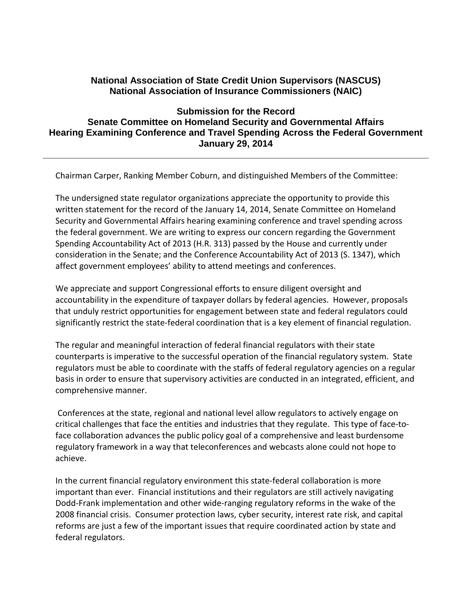## **National Association of State Credit Union Supervisors (NASCUS) National Association of Insurance Commissioners (NAIC)**

## **Submission for the Record Senate Committee on Homeland Security and Governmental Affairs Hearing Examining Conference and Travel Spending Across the Federal Government January 29, 2014**

**\_\_\_\_\_\_\_\_\_\_\_\_\_\_\_\_\_\_\_\_\_\_\_\_\_\_\_\_\_\_\_\_\_\_\_\_\_\_\_\_\_\_\_\_\_\_\_\_\_\_\_\_\_\_\_\_\_\_\_\_\_\_\_\_\_\_\_\_\_\_\_\_\_\_\_**

Chairman Carper, Ranking Member Coburn, and distinguished Members of the Committee:

The undersigned state regulator organizations appreciate the opportunity to provide this written statement for the record of the January 14, 2014, Senate Committee on Homeland Security and Governmental Affairs hearing examining conference and travel spending across the federal government. We are writing to express our concern regarding the Government Spending Accountability Act of 2013 (H.R. 313) passed by the House and currently under consideration in the Senate; and the Conference Accountability Act of 2013 (S. 1347), which affect government employees' ability to attend meetings and conferences.

We appreciate and support Congressional efforts to ensure diligent oversight and accountability in the expenditure of taxpayer dollars by federal agencies. However, proposals that unduly restrict opportunities for engagement between state and federal regulators could significantly restrict the state-federal coordination that is a key element of financial regulation.

The regular and meaningful interaction of federal financial regulators with their state counterparts is imperative to the successful operation of the financial regulatory system. State regulators must be able to coordinate with the staffs of federal regulatory agencies on a regular basis in order to ensure that supervisory activities are conducted in an integrated, efficient, and comprehensive manner.

Conferences at the state, regional and national level allow regulators to actively engage on critical challenges that face the entities and industries that they regulate. This type of face-toface collaboration advances the public policy goal of a comprehensive and least burdensome regulatory framework in a way that teleconferences and webcasts alone could not hope to achieve.

In the current financial regulatory environment this state-federal collaboration is more important than ever. Financial institutions and their regulators are still actively navigating Dodd-Frank implementation and other wide-ranging regulatory reforms in the wake of the 2008 financial crisis. Consumer protection laws, cyber security, interest rate risk, and capital reforms are just a few of the important issues that require coordinated action by state and federal regulators.